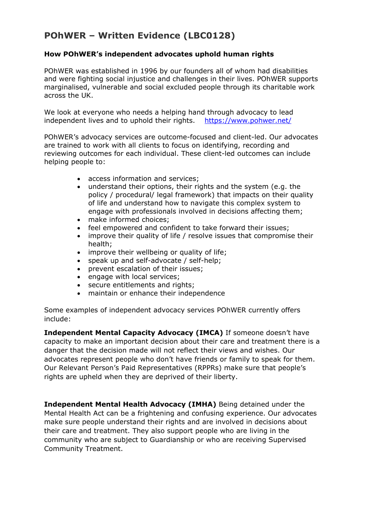# **POhWER – Written Evidence (LBC0128)**

## **How POhWER's independent advocates uphold human rights**

POhWER was established in 1996 by our founders all of whom had disabilities and were fighting social injustice and challenges in their lives. POhWER supports marginalised, vulnerable and social excluded people through its charitable work across the UK.

We look at everyone who needs a helping hand through advocacy to lead independent lives and to uphold their rights. <https://www.pohwer.net/>

POhWER's advocacy services are outcome-focused and client-led. Our advocates are trained to work with all clients to focus on identifying, recording and reviewing outcomes for each individual. These client-led outcomes can include helping people to:

- access information and services;
- understand their options, their rights and the system (e.g. the policy / procedural/ legal framework) that impacts on their quality of life and understand how to navigate this complex system to engage with professionals involved in decisions affecting them;
- make informed choices:
- feel empowered and confident to take forward their issues;
- improve their quality of life / resolve issues that compromise their health;
- improve their wellbeing or quality of life;
- speak up and self-advocate / self-help;
- prevent escalation of their issues;
- engage with local services;
- secure entitlements and rights;
- maintain or enhance their independence

Some examples of independent advocacy services POhWER currently offers include:

**Independent Mental Capacity Advocacy (IMCA)** If someone doesn't have capacity to make an important decision about their care and treatment there is a danger that the decision made will not reflect their views and wishes. Our advocates represent people who don't have friends or family to speak for them. Our Relevant Person's Paid Representatives (RPPRs) make sure that people's rights are upheld when they are deprived of their liberty.

**Independent Mental Health Advocacy (IMHA)** Being detained under the Mental Health Act can be a frightening and confusing experience. Our advocates make sure people understand their rights and are involved in decisions about their care and treatment. They also support people who are living in the community who are subject to Guardianship or who are receiving Supervised Community Treatment.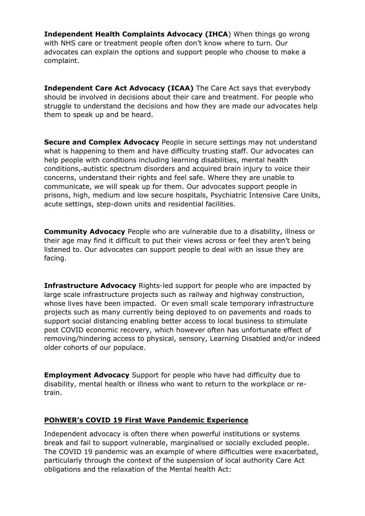**Independent Health Complaints Advocacy (IHCA**) When things go wrong with NHS care or treatment people often don't know where to turn. Our advocates can explain the options and support people who choose to make a complaint.

**Independent Care Act Advocacy (ICAA)** The Care Act says that everybody should be involved in decisions about their care and treatment. For people who struggle to understand the decisions and how they are made our advocates help them to speak up and be heard.

**Secure and Complex Advocacy** People in secure settings may not understand what is happening to them and have difficulty trusting staff. Our advocates can help people with conditions including learning disabilities, mental health conditions, autistic spectrum disorders and acquired brain injury to voice their concerns, understand their rights and feel safe. Where they are unable to communicate, we will speak up for them. Our advocates support people in prisons, high, medium and low secure hospitals, Psychiatric Intensive Care Units, acute settings, step-down units and residential facilities.

**Community Advocacy** People who are vulnerable due to a disability, illness or their age may find it difficult to put their views across or feel they aren't being listened to. Our advocates can support people to deal with an issue they are facing.

**Infrastructure Advocacy** Rights-led support for people who are impacted by large scale infrastructure projects such as railway and highway construction, whose lives have been impacted. Or even small scale temporary infrastructure projects such as many currently being deployed to on pavements and roads to support social distancing enabling better access to local business to stimulate post COVID economic recovery, which however often has unfortunate effect of removing/hindering access to physical, sensory, Learning Disabled and/or indeed older cohorts of our populace.

**Employment Advocacy** Support for people who have had difficulty due to disability, mental health or illness who want to return to the workplace or retrain.

#### **POhWER's COVID 19 First Wave Pandemic Experience**

Independent advocacy is often there when powerful institutions or systems break and fail to support vulnerable, marginalised or socially excluded people. The COVID 19 pandemic was an example of where difficulties were exacerbated, particularly through the context of the suspension of local authority Care Act obligations and the relaxation of the Mental health Act: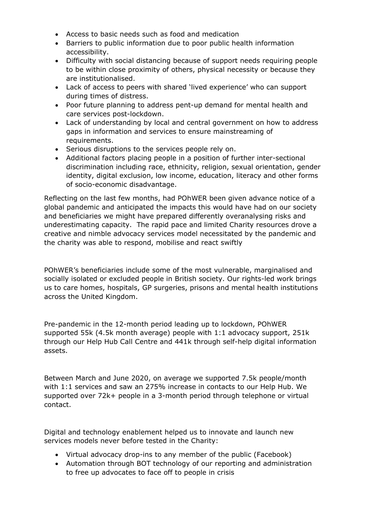- Access to basic needs such as food and medication
- Barriers to public information due to poor public health information accessibility.
- Difficulty with social distancing because of support needs requiring people to be within close proximity of others, physical necessity or because they are institutionalised.
- Lack of access to peers with shared 'lived experience' who can support during times of distress.
- Poor future planning to address pent-up demand for mental health and care services post-lockdown.
- Lack of understanding by local and central government on how to address gaps in information and services to ensure mainstreaming of requirements.
- Serious disruptions to the services people rely on.
- Additional factors placing people in a position of further inter-sectional discrimination including race, ethnicity, religion, sexual orientation, gender identity, digital exclusion, low income, education, literacy and other forms of socio-economic disadvantage.

Reflecting on the last few months, had POhWER been given advance notice of a global pandemic and anticipated the impacts this would have had on our society and beneficiaries we might have prepared differently overanalysing risks and underestimating capacity. The rapid pace and limited Charity resources drove a creative and nimble advocacy services model necessitated by the pandemic and the charity was able to respond, mobilise and react swiftly

POhWER's beneficiaries include some of the most vulnerable, marginalised and socially isolated or excluded people in British society. Our rights-led work brings us to care homes, hospitals, GP surgeries, prisons and mental health institutions across the United Kingdom.

Pre-pandemic in the 12-month period leading up to lockdown, POhWER supported 55k (4.5k month average) people with 1:1 advocacy support, 251k through our Help Hub Call Centre and 441k through self-help digital information assets.

Between March and June 2020, on average we supported 7.5k people/month with 1:1 services and saw an 275% increase in contacts to our Help Hub. We supported over 72k+ people in a 3-month period through telephone or virtual contact.

Digital and technology enablement helped us to innovate and launch new services models never before tested in the Charity:

- Virtual advocacy drop-ins to any member of the public (Facebook)
- Automation through BOT technology of our reporting and administration to free up advocates to face off to people in crisis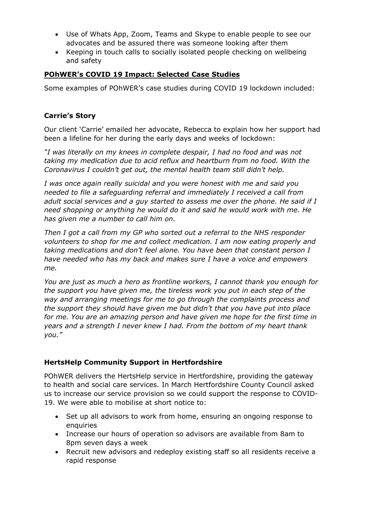- Use of Whats App, Zoom, Teams and Skype to enable people to see our advocates and be assured there was someone looking after them
- Keeping in touch calls to socially isolated people checking on wellbeing and safety

# **POhWER's COVID 19 Impact: Selected Case Studies**

Some examples of POhWER's case studies during COVID 19 lockdown included:

## **Carrie's Story**

Our client 'Carrie' emailed her advocate, Rebecca to explain how her support had been a lifeline for her during the early days and weeks of lockdown:

*"I was literally on my knees in complete despair, I had no food and was not taking my medication due to acid reflux and heartburn from no food. With the Coronavirus I couldn't get out, the mental health team still didn't help.*

*I was once again really suicidal and you were honest with me and said you needed to file a safeguarding referral and immediately I received a call from adult social services and a guy started to assess me over the phone. He said if I need shopping or anything he would do it and said he would work with me. He has given me a number to call him on.*

*Then I got a call from my GP who sorted out a referral to the NHS responder volunteers to shop for me and collect medication. I am now eating properly and taking medications and don't feel alone. You have been that constant person I have needed who has my back and makes sure I have a voice and empowers me.*

*You are just as much a hero as frontline workers, I cannot thank you enough for the support you have given me, the tireless work you put in each step of the way and arranging meetings for me to go through the complaints process and the support they should have given me but didn't that you have put into place for me. You are an amazing person and have given me hope for the first time in years and a strength I never knew I had. From the bottom of my heart thank you."*

# **HertsHelp Community Support in Hertfordshire**

POhWER delivers the HertsHelp service in Hertfordshire, providing the gateway to health and social care services. In March Hertfordshire County Council asked us to increase our service provision so we could support the response to COVID-19. We were able to mobilise at short notice to:

- Set up all advisors to work from home, ensuring an ongoing response to enquiries
- Increase our hours of operation so advisors are available from 8am to 8pm seven days a week
- Recruit new advisors and redeploy existing staff so all residents receive a rapid response